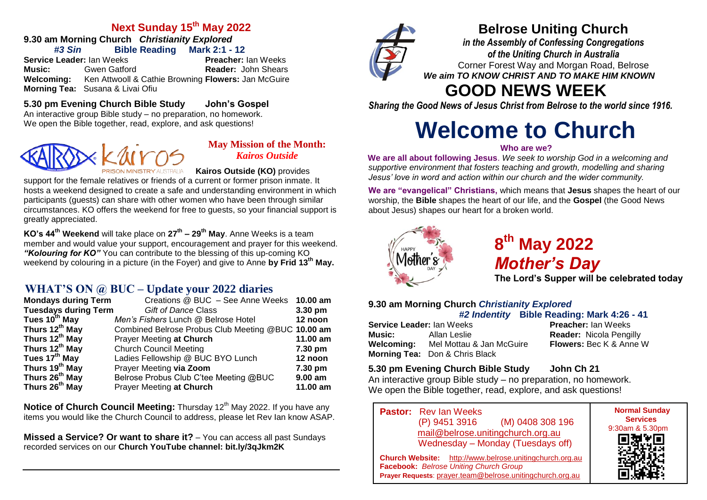#### **Next Sunday 15th May 2022**

**9.30 am Morning Church** *Christianity Explored #3 Sin* **Bible Reading Mark 2:1 - 12**

**Service Leader:** Ian Weeks **Preacher:** Ian Weeks **Music:** Gwen Gatford **Reader:** John Shears **Welcoming:** Ken Attwooll & Cathie Browning **Flowers:** Jan McGuire **Morning Tea:** Susana & Livai Ofiu

#### **5.30 pm Evening Church Bible Study John's Gospel**

An interactive group Bible study – no preparation, no homework. We open the Bible together, read, explore, and ask questions!



#### **May Mission of the Month:** *Kairos Outside*

**Kairos Outside (KO)** provides

support for the female relatives or friends of a current or former prison inmate. It hosts a weekend designed to create a safe and understanding environment in which participants (guests) can share with other women who have been through similar circumstances. KO offers the weekend for free to guests, so your financial support is greatly appreciated.

**KO's 44th Weekend** will take place on **27th – 29th May**. Anne Weeks is a team member and would value your support, encouragement and prayer for this weekend. *"Kolouring for KO"* You can contribute to the blessing of this up-coming KO weekend by colouring in a picture (in the Foyer) and give to Anne **by Frid 13th May.**

### **WHAT'S ON @ BUC – Update your 2022 diaries**

| <b>Mondays during Term</b>  | Creations @ BUC - See Anne Weeks 10.00 am          |           |
|-----------------------------|----------------------------------------------------|-----------|
| <b>Tuesdays during Term</b> | <b>Gift of Dance Class</b>                         | 3.30 pm   |
| Tues 10 <sup>th</sup> May   | Men's Fishers Lunch @ Belrose Hotel                | 12 noon   |
| Thurs 12 <sup>th</sup> May  | Combined Belrose Probus Club Meeting @BUC 10.00 am |           |
| Thurs 12 <sup>th</sup> May  | <b>Prayer Meeting at Church</b>                    | 11.00 am  |
| Thurs 12 <sup>th</sup> May  | <b>Church Council Meeting</b>                      | 7.30 pm   |
| Tues 17 <sup>th</sup> May   | Ladies Fellowship @ BUC BYO Lunch                  | 12 noon   |
| Thurs 19 <sup>th</sup> May  | Prayer Meeting via Zoom                            | 7.30 pm   |
| Thurs 26 <sup>th</sup> May  | Belrose Probus Club C'tee Meeting @BUC             | $9.00$ am |
| Thurs 26 <sup>th</sup> May  | Prayer Meeting at Church                           | 11.00 am  |

**Notice of Church Council Meeting:** Thursday 12<sup>th</sup> May 2022. If you have any items you would like the Church Council to address, please let Rev Ian know ASAP.

**Missed a Service? Or want to share it?** – You can access all past Sundays recorded services on our **Church YouTube channel: bit.ly/3qJkm2K**



## **Belrose Uniting Church**

*in the Assembly of Confessing Congregations of the Uniting Church in Australia* Corner Forest Way and Morgan Road, Belrose *We aim TO KNOW CHRIST AND TO MAKE HIM KNOWN*

# **GOOD NEWS WEEK**

*Sharing the Good News of Jesus Christ from Belrose to the world since 1916.*

# **Welcome to Church**

#### **Who are we?**

**We are all about following Jesus**. *We seek to worship God in a welcoming and supportive environment that fosters teaching and growth, modelling and sharing Jesus' love in word and action within our church and the wider community.*

**We are "evangelical" Christians,** which means that **Jesus** shapes the heart of our worship, the **Bible** shapes the heart of our life, and the **Gospel** (the Good News about Jesus) shapes our heart for a broken world.



**8 th May 2022** *Mother's Day*

**The Lord's Supper will be celebrated today**

#### **9.30 am Morning Church** *Christianity Explored #2 Indentity* **Bible Reading: Mark 4:26 - 41**

**Service Leader:** Ian Weeks **Preacher:** Ian Weeks **Music:** Allan Leslie **Reader:** Nicola Pengilly **Welcoming:** Mel Mottau & Jan McGuire **Flowers:** Bec K & Anne W **Morning Tea:** Don & Chris Black

#### **5.30 pm Evening Church Bible Study John Ch 21**

An interactive group Bible study – no preparation, no homework. We open the Bible together, read, explore, and ask questions!

**Pastor:** Rev Ian Weeks (P) 9451 3916 (M) 0408 308 196 [mail@belrose.unitingchurch.org.au](mailto:mail@belrose.unitingchurch.org.au) Wednesday – Monday (Tuesdays off)



**Church Website:** [http://www.belrose.unitingchurch.org.au](http://www.belrose.unitingchurch.org.au/) **Facebook:** *Belrose Uniting Church Group* **Prayer Requests**: [prayer.team@belrose.unitingchurch.org.au](mailto:prayer.team@belrose.unitingchurch.org.au)